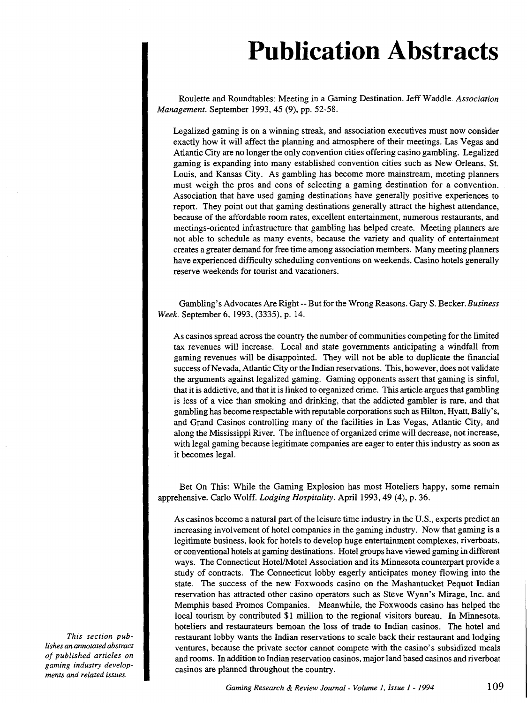## **Publication Abstracts**

Roulette and Roundtables: Meeting in a Gaming Destination. Jeff Waddle. *Association Management.* September 1993, 45 (9), pp. 52-58.

Legalized gaming is on a winning streak, and association executives must now consider exactly how it will affect the planning and atmosphere of their meetings. Las Vegas and Atlantic City are no longer the only convention cities offering casino gambling. Legalized gaming is expanding into many established convention cities such as New Orleans, St. Louis, and Kansas City. As gambling has become more mainstream, meeting planners must weigh the pros and cons of selecting a gaming destination for a convention. Association that have used gaming destinations have generally positive experiences to report. They point out that gaming destinations generally attract the highest attendance, because of the affordable room rates, excellent entertainment, numerous restaurants, and meetings-oriented infrastructure that gambling has helped create. Meeting planners are not able to schedule as many events, because the variety and quality of entertainment creates a greater demand for free time among association members. Many meeting planners have experienced difficulty scheduling conventions on weekends. Casino hotels generally reserve weekends for tourist and vacationers.

Gambling's Advocates Are Right-- But for the Wrong Reasons. Gary S. Becker. *Business Week.* September 6, 1993, (3335), p. 14.

As casinos spread across the country the number of communities competing for the limited tax revenues will increase. Local and state governments anticipating a windfall from gaming revenues will be disappointed. They will not be able to duplicate the financial success of Nevada, Atlantic City or the Indian reservations. This, however, does not validate the arguments against legalized gaming. Gaming opponents assert that gaming is sinful, that it is addictive, and that it is linked to organized crime. This article argues that gambling is less of a vice than smoking and drinking, that the addicted gambler is rare, and that gambling has become respectable with reputable corporations such as Hilton, Hyatt, Bally's, and Grand Casinos controlling many of the facilities in Las Vegas, Atlantic City, and along the Mississippi River. The influence of organized crime will decrease, not increase, with legal gaming because legitimate companies are eager to enter this industry as soon as it becomes legal.

Bet On This: While the Gaming Explosion has most Hoteliers happy, some remain apprehensive. Carlo Wolff. *Lodging Hospitality.* April 1993, 49 (4), p. 36.

As casinos become a natural part of the leisure time industry in the U.S., experts predict an increasing involvement of hotel companies in the gaming industry. Now that gaming is a legitimate business, look for hotels to develop huge entertainment complexes, riverboats, or conventional hotels at gaming destinations. Hotel groups have viewed gaming in different ways. The Connecticut Hotel/Motel Association and its Minnesota counterpart provide a study of contracts. The Connecticut lobby eagerly anticipates money flowing into the state. The success of the new Foxwoods casino on the Mashantucket Pequot Indian reservation has attracted other casino operators such as Steve Wynn's Mirage, Inc. and Memphis based Promos Companies. Meanwhile, the Foxwoods casino has helped the local tourism by contributed \$1 million to the regional visitors bureau. In Minnesota, hoteliers and restaurateurs bemoan the loss of trade to Indian casinos. The hotel and restaurant lobby wants the Indian reservations to scale back their restaurant and lodging ventures, because the private sector cannot compete with the casino's subsidized meals and rooms. In addition to Indian reservation casinos, major land based casinos and riverboat casinos are planned throughout the country.

*This section publishes an annotated abstract of published articles on gaming industry developments and related issues.*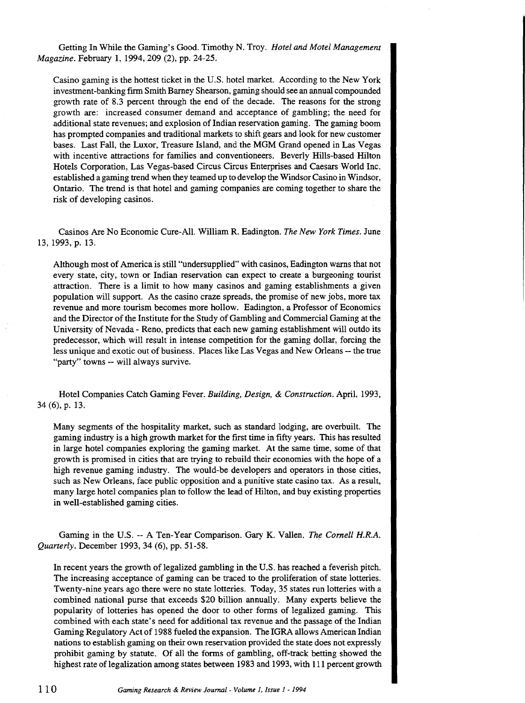Getting In While the Gaming's Good. Timothy N. Troy. *Hotel and Motel Management Magazine.* February 1, 1994, 209 (2), pp. 24-25.

Casino gaming is the hottest ticket in the U.S. hotel market. According to the New York investment-banking firm Smith Barney Shearson, gaming should see an annual compounded growth rate of 8.3 percent through the end of the decade. The reasons for the strong growth are: increased consumer demand and acceptance of gambling; the need for additional state revenues; and explosion of Indian reservation gaming. The gaming boom has prompted companies and traditional markets to shift gears and look for new customer bases. Last Fall, the Luxor, Treasure Island, and the MGM Grand opened in Las Vegas with incentive attractions for families and conventioneers. Beverly Hills-based Hilton Hotels Corporation, Las Vegas-based Circus Circus Enterprises and Caesars World Inc. established a gaming trend when they teamed up to develop the Windsor Casino in Windsor, Ontario. The trend is that hotel and gaming companies are coming together to share the risk of developing casinos.

Casinos Are No Economic Cure-All. William R. Eadington. *The New York Times*. June 13, 1993, p. 13.

Although most of America is still "undersupplied" with casinos, Eadington warns that not every state, city, town or Indian reservation can expect to create a burgeoning tourist attraction. There is a limit to how many casinos and gaming establishments a given population will support. As the casino craze spreads, the promise of new jobs, more tax revenue and more tourism becomes more hollow. Eadington, a Professor of Economics and the Director of the Institute for the Study of Gambling and Commercial Gaming at the University of Nevada- Reno, predicts that each new gaming establishment will outdo its predecessor, which will result in intense competition for the gaming dollar, forcing the less unique and exotic out of business. Places like Las Vegas and New Orleans-- the true "party" towns -- will always survive.

Hotel Companies Catch Gaming Fever. *Building, Design,* & *Construction.* April, 1993, 34 (6), p. 13.

Many segments of the hospitality market, such as standard lodging, are overbuilt. The gaming industry is a high growth market for the first time in fifty years. This has resulted in large hotel companies exploring the gaming market. At the same time, some of that growth is promised in cities that are trying to rebuild their economies with the hope of a high revenue gaming industry. The would-be developers and operators in those cities, such as New Orleans, face public opposition and a punitive state casino tax. As a result, many large hotel companies plan to follow the lead of Hilton, and buy existing properties in well-established gaming cities.

Gaming in the U.S. --A Ten-Year Comparison. Gary K. Vallen. *The Cornell H.R.A. Quarterly.* December 1993, 34 (6), pp. 51-58.

In recent years the growth of legalized gambling in the U.S. has reached a feverish pitch. The increasing acceptance of gaming can be traced to the proliferation of state lotteries. Twenty-nine years ago there were no state lotteries. Today, 35 states run lotteries with a combined national purse that exceeds \$20 billion annually. Many experts believe the popularity of lotteries has opened the door to other forms of legalized gaming. This combined with each state's need for additional tax revenue and the passage of the Indian Gaming Regulatory Act of 1988 fueled the expansion. The IGRA allows American Indian nations to establish gaming on their own reservation provided the state does not expressly prohibit gaming by statute. Of all the forms of gambling, off-track betting showed the highest rate of legalization among states between 1983 and 1993, with Ill percent growth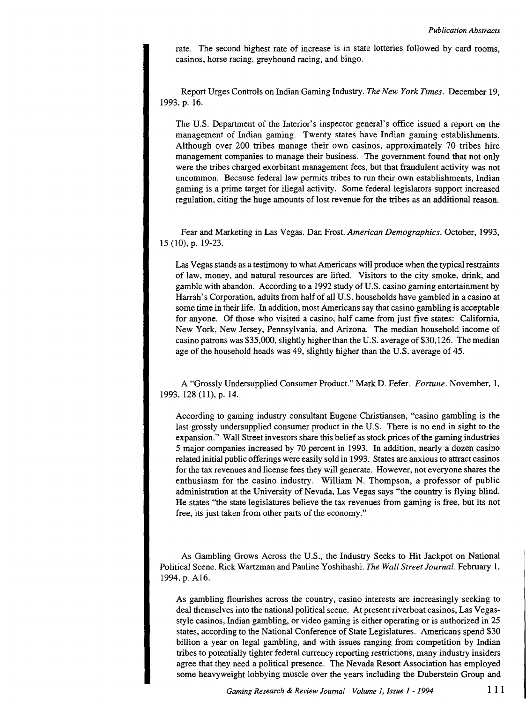rate. The second highest rate of increase is in state lotteries followed by card rooms, casinos, horse racing, greyhound racing, and bingo.

Report Urges Controls on Indian Gaming Industry. *The New York Times.* December 19, 1993, p. 16.

The U.S. Department of the Interior's inspector general's office issued a report on the management of Indian gaming. Twenty states have Indian gaming establishments. Although over 200 tribes manage their own casinos, approximately 70 tribes hire management companies to manage their business. The government found that not only were the tribes charged exorbitant management fees, but that fraudulent activity was not uncommon. Because federal law permits tribes to run their own establishments, Indian gaming is a prime target for illegal activity. Some federal legislators support increased regulation, citing the huge amounts of lost revenue for the tribes as an additional reason.

Fear and Marketing in Las Vegas. Dan Frost. *American Demographics.* October, 1993, 15 (10), p. 19-23.

Las Vegas stands as a testimony to what Americans will produce when the typical restraints of law, money, and natural resources are lifted. Visitors to the city smoke, drink, and gamble with abandon. According to a 1992 study of U.S. casino gaming entertainment by Harrah's Corporation, adults from half of all U.S. households have gambled in a casino at some time in their life. In addition, most Americans say that casino gambling is acceptable for anyone. Of those who visited a casino, half came from just five states: California, New York, New Jersey, Pennsylvania, and Arizona. The median household income of casino patrons was \$35,000, slightly higher than the U.S. average of \$30,126. The median age of the household heads was 49, slightly higher than the U.S. average of 45.

A "Grossly Undersupplied Consumer Product." Mark D. Fefer. *Fortune.* November, 1, 1993, 128 (11), p. 14.

According to gaming industry consultant Eugene Christiansen, "casino gambling is the last grossly undersupplied consumer product in the U.S. There is no end in sight to the expansion." Wall Street investors share this belief as stock prices of the gaming industries 5 major companies increased by 70 percent in 1993. In addition, nearly a dozen casino related initial public offerings were easily sold in 1993. States are anxious to attract casinos for the tax revenues and license fees they will generate. However, not everyone shares the enthusiasm for the casino industry. William N. Thompson, a professor of public administration at the University of Nevada, Las Vegas says "the country is flying blind. He states "the state legislatures believe the tax revenues from gaming is free, but its not free, its just taken from other parts of the economy."

As Gambling Grows Across the U.S., the Industry Seeks to Hit Jackpot on National Political Scene. Rick Wartzman and Pauline Yoshihashi. *The Wall Street Journal.* February 1, 1994, p. A16.

As gambling flourishes across the country, casino interests are increasingly seeking to deal themselves into the national political scene. At present riverboat casinos, Las Vegasstyle casinos, Indian gambling, or video gaming is either operating or is authorized in 25 states, according to the National Conference of State Legislatures. Americans spend \$30 billion a year on legal gambling, and with issues ranging from competition by Indian tribes to potentially tighter federal currency reporting restrictions, many industry insiders agree that they need a political presence. The Nevada Resort Association has employed some heavyweight lobbying muscle over the years including the Duberstein Group and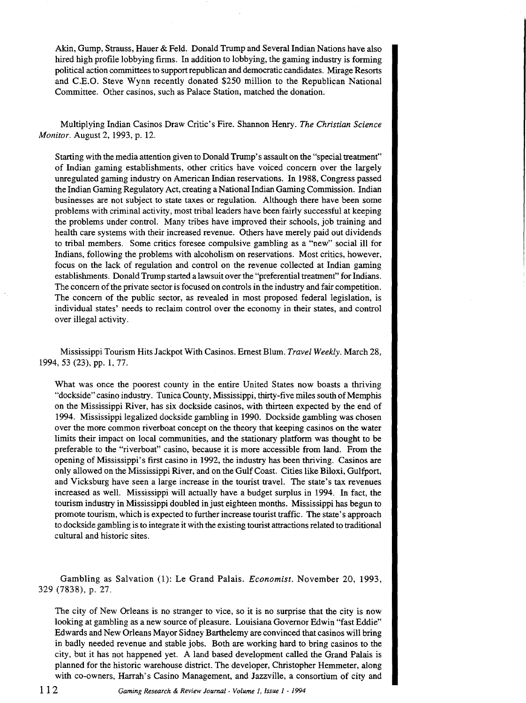Akin, Gump, Strauss, Hauer & Feld. Donald Trump and Several Indian Nations have also hired high profile lobbying firms. In addition to lobbying, the gaming industry is forming political action committees to support republican and democratic candidates. Mirage Resorts and C.E.O. Steve Wynn recently donated \$250 million to the Republican National Committee. Other casinos, such as Palace Station, matched the donation.

Multiplying Indian Casinos Draw Critic's Fire. Shannon Henry. *The Christian Science Monitor.* August 2, 1993, p. 12.

Starting with the media attention given to Donald Trump's assault on the "special treatment" of Indian gaming establishments, other critics have voiced concern over the largely unregulated gaming industry on American Indian reservations. In 1988, Congress passed the Indian Gaming Regulatory Act, creating a National Indian Gaming Commission. Indian businesses are not subject to state taxes or regulation. Although there have been some problems with criminal activity, most tribal leaders have been fairly successful at keeping the problems under control. Many tribes have improved their schools, job training and health care systems with their increased revenue. Others have merely paid out dividends to tribal members. Some critics foresee compulsive gambling as a "new" social ill for Indians, following the problems with alcoholism on reservations. Most critics, however, focus on the lack of regulation and control on the revenue collected at Indian gaming establishments. Donald Trump started a lawsuit over the "preferential treatment" for Indians. The concern of the private sector is focused on controls in the industry and fair competition. The concern of the public sector, as revealed in most proposed federal legislation, is individual states' needs to reclaim control over the economy in their states, and control over illegal activity.

Mississippi Tourism Hits Jackpot With Casinos. Ernest Blum. *Travel Weekly.* March 28, 1994, 53 (23), pp. 1, 77.

What was once the poorest county in the entire United States now boasts a thriving "dockside" casino industry. Tunica County, Mississippi, thirty-five miles south of Memphis on the Mississippi River, has six dockside casinos, with thirteen expected by the end of 1994. Mississippi legalized dockside gambling in 1990. Dockside gambling was chosen over the more common riverboat concept on the theory that keeping casinos on the water limits their impact on local communities, and the stationary platform was thought to be preferable to the "riverboat" casino, because it is more accessible from land. From the opening of Mississippi's first casino in 1992, the industry has been thriving. Casinos are only allowed on the Mississippi River, and on the Gulf Coast. Cities like Biloxi, Gulfport, and Vicksburg have seen a large increase in the tourist travel. The state's tax revenues increased as well. Mississippi will actually have a budget surplus in 1994. In fact, the tourism industry in Mississippi doubled in just eighteen months. Mississippi has begun to promote tourism, which is expected to further increase tourist traffic. The state's approach to dockside gambling is to integrate it with the existing tourist attractions related to traditional cultural and historic sites.

Gambling as Salvation (1): Le Grand Palais. *Economist.* November 20, 1993, 329 (7838), p. 27.

The city of New Orleans is no stranger to vice, so it is no surprise that the city is now looking at gambling as a new source of pleasure. Louisiana Governor Edwin "fast Eddie" Edwards and New Orleans Mayor Sidney Barthelemy are convinced that casinos will bring in badly needed revenue and stable jobs. Both are working hard to bring casinos to the city, but it has not happened yet. A land based development called the Grand Palais is planned for the historic warehouse district. The developer, Christopher Hemmeter, along with co-owners, Harrah's Casino Management, and Jazzville, a consortium of city and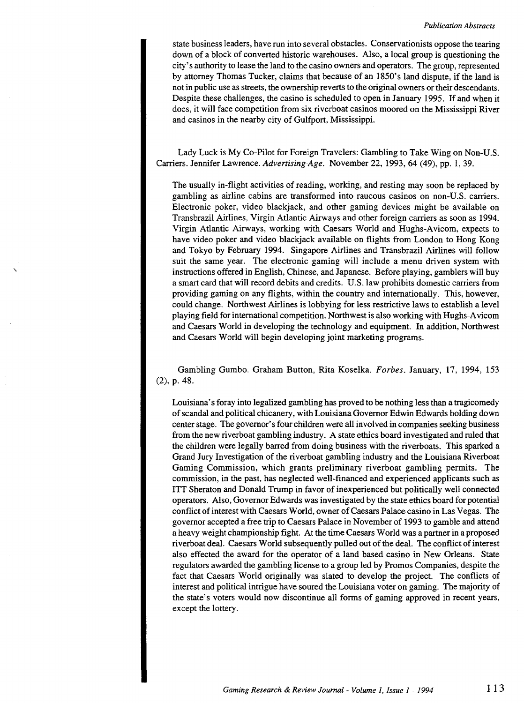state business leaders, have run into several obstacles. Conservationists oppose the tearing down of a block of converted historic warehouses. Also, a local group is questioning the city's authority to lease the land to the casino owners and operators. The group, represented by attorney Thomas Tucker, claims that because of an 1850's land dispute, if the land is not in public use as streets, the ownership reverts to the original owners or their descendants. Despite these challenges, the casino is scheduled to open in January 1995. If and when it does, it will face competition from six riverboat casinos moored on the Mississippi River and casinos in the nearby city of Gulfport, Mississippi.

Lady Luck is My Co-Pilot for Foreign Travelers: Gambling to Take Wing on Non-U.S. Carriers. Jennifer Lawrence. *Advertising Age.* November 22, 1993, 64 (49), pp. 1, 39.

The usually in-flight activities of reading, working, and resting may soon be replaced by gambling as airline cabins are transformed into raucous casinos on non-U.S. carriers. Electronic poker, video blackjack, and other gaming devices might be available on Transbrazil Airlines, Virgin Atlantic Airways and other foreign carriers as soon as 1994. Virgin Atlantic Airways, working with Caesars World and Hughs-Avicom, expects to have video poker and video blackjack available on flights from London to Hong Kong and Tokyo by February 1994. Singapore Airlines and Transbrazil Airlines will follow suit the same year. The electronic gaming will include a menu driven system with instructions offered in English, Chinese, and Japanese. Before playing, gamblers will buy a smart card that will record debits and credits. U.S. law prohibits domestic carriers from providing gaming on any flights, within the country and internationally. This, however, could change. Northwest Airlines is lobbying for less restrictive laws to establish a level playing field for international competition. Northwest is also working with Hughs-Avicom and Caesars World in developing the technology and equipment. In addition, Northwest and Caesars World will begin developing joint marketing programs.

Gambling Gumbo. Graham Button, Rita Koselka. *Forbes.* January, 17, 1994, 153 (2), p. 48.

Louisiana's foray into legalized gambling has proved to be nothing less than a tragicomedy of scandal and political chicanery, with Louisiana Governor Edwin Edwards holding down center stage. The governor's four children were all involved in companies seeking business from the new riverboat gambling industry. A state ethics board investigated and ruled that the children were legally barred from doing business with the riverboats. This sparked a Grand Jury Investigation of the riverboat gambling industry and the Louisiana Riverboat Gaming Commission, which grants preliminary riverboat gambling permits. The commission, in the past, has neglected well-financed and experienced applicants such as ITT Sheraton and Donald Trump in favor of inexperienced but politically well connected operators. Also, Governor Edwards was investigated by the state ethics board for potential conflict of interest with Caesars World, owner of Caesars Palace casino in Las Vegas. The governor accepted a free trip to Caesars Palace in November of 1993 to gamble and attend a heavy weight championship fight. At the time Caesars World was a partner in a proposed riverboat deal. Caesars World subsequently pulled out of the deaL The conflict of interest also effected the award for the operator of a land based casino in New Orleans. State regulators awarded the gambling license to a group led by Promos Companies, despite the fact that Caesars World originally was slated to develop the project. The conflicts of interest and political intrigue have soured the Louisiana voter on gaming. The majority of the state's voters would now discontinue all forms of gaming approved in recent years, except the lottery.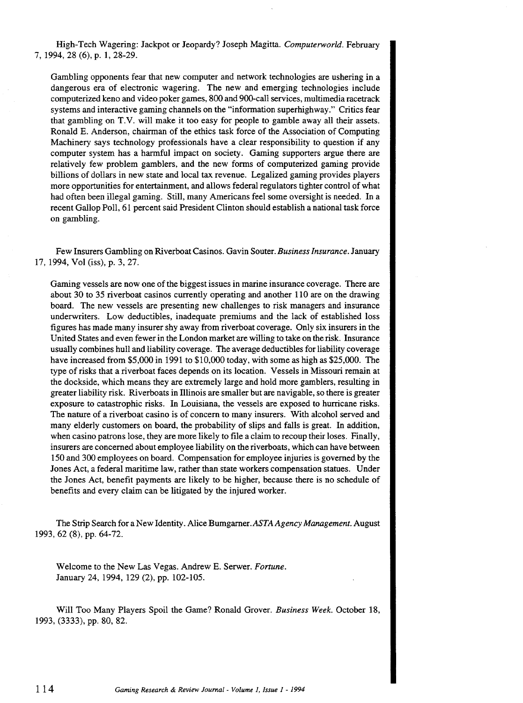High-Tech Wagering: Jackpot or Jeopardy? Joseph Magitta. *Computerworld.* February 7, 1994, 28 (6), p. 1, 28-29.

Gambling opponents fear that new computer and network technologies are ushering in a dangerous era of electronic wagering. The new and emerging technologies include computerized keno and video poker games, 800 and 900-call services, multimedia racetrack systems and interactive gaming channels on the "information superhighway." Critics fear that gambling on T.V. will make it too easy for people to gamble away all their assets. Ronald E. Anderson, chairman of the ethics task force of the Association of Computing Machinery says technology professionals have a clear responsibility to question if any computer system has a harmful impact on society. Gaming supporters argue there are relatively few problem gamblers, and the new forms of computerized gaming provide billions of dollars in new state and local tax revenue. Legalized gaming provides players more opportunities for entertainment, and allows federal regulators tighter control of what had often been illegal gaming. Still, many Americans feel some oversight is needed. In a recent Gallop Poll, 61 percent said President Clinton should establish a national task force on gambling.

Few Insurers Gambling on Riverboat Casinos. Gavin Souter. *Business Insurance.* January 17, 1994, Vol (iss), p. 3, 27.

Gaming vessels are now one of the biggest issues in marine insurance coverage. There are about 30 to 35 riverboat casinos currently operating and another 110 are on the drawing board. The new vessels are presenting new challenges to risk managers and insurance underwriters. Low deductibles, inadequate premiums and the lack of established loss figures has made many insurer shy away from riverboat coverage. Only six insurers in the United States and even fewer in the London market are willing to take on the risk. Insurance usually combines hull and liability coverage. The average deductibles for liability coverage have increased from \$5,000 in 1991 to \$10,000 today, with some as high as \$25,000. The type of risks that a riverboat faces depends on its location. Vessels in Missouri remain at the dockside, which means they are extremely large and hold more gamblers, resulting in greater liability risk. Riverboats in Illinois are smaller but are navigable, so there is greater exposure to catastrophic risks. In Louisiana, the vessels are exposed to hurricane risks. The nature of a riverboat casino is of concern to many insurers. With alcohol served and many elderly customers on board, the probability of slips and falls is great. In addition, when casino patrons lose, they are more likely to file a claim to recoup their loses. Finally, insurers are concerned about employee liability on the riverboats, which can have between 150 and 300 employees on board. Compensation for employee injuries is governed by the Jones Act, a federal maritime law, rather than state workers compensation statues. Under the Jones Act, benefit payments are likely to be higher, because there is no schedule of benefits and every claim can be litigated by the injured worker.

The Strip Search for a New Identity. Alice Bumgarner *.ASTA Agency Management.* August 1993, 62 (8), pp. 64-72.

Welcome to the New Las Vegas. Andrew E. Serwer. *Fortune.*  January 24, 1994, 129 (2), pp. 102-105.

Will Too Many Players Spoil the Game? Ronald Grover. *Business Week.* October 18, 1993, (3333), pp. 80, 82.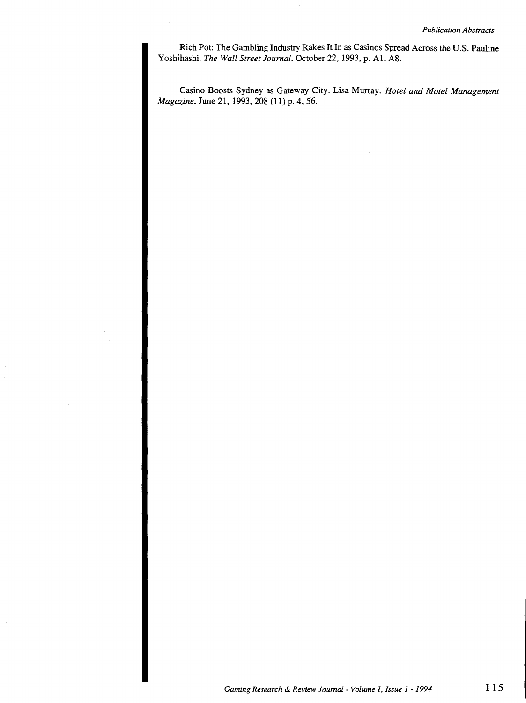Rich Pot: The Gambling Industry Rakes It In as Casinos Spread Across the U.S. Pauline Yoshihashi. *The Wall Street Journal.* October 22, 1993, p. A1, A8.

Casino Boosts Sydney as Gateway City. Lisa Murray. *Hotel and Motel Management Magazine.* June 21, 1993, 208 (11) p. 4, 56.